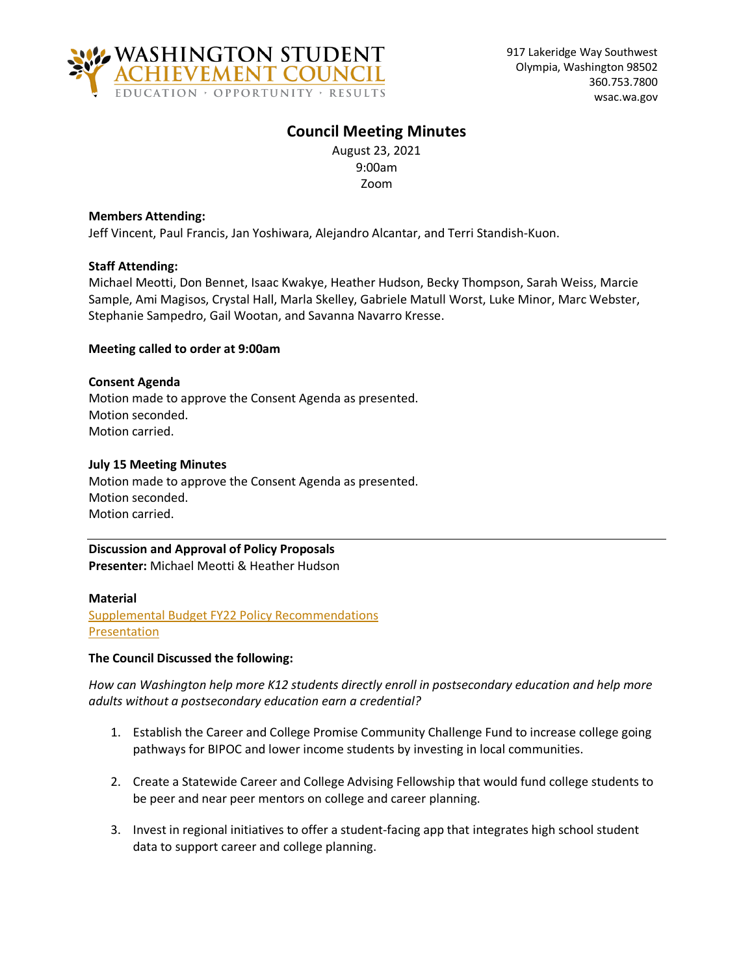

# **Council Meeting Minutes**

August 23, 2021 9:00am Zoom

# **Members Attending:**

Jeff Vincent, Paul Francis, Jan Yoshiwara, Alejandro Alcantar, and Terri Standish-Kuon.

# **Staff Attending:**

Michael Meotti, Don Bennet, Isaac Kwakye, Heather Hudson, Becky Thompson, Sarah Weiss, Marcie Sample, Ami Magisos, Crystal Hall, Marla Skelley, Gabriele Matull Worst, Luke Minor, Marc Webster, Stephanie Sampedro, Gail Wootan, and Savanna Navarro Kresse.

# **Meeting called to order at 9:00am**

# **Consent Agenda**

Motion made to approve the Consent Agenda as presented. Motion seconded. Motion carried.

### **July 15 Meeting Minutes**

Motion made to approve the Consent Agenda as presented. Motion seconded. Motion carried.

# **Discussion and Approval of Policy Proposals Presenter:** Michael Meotti & Heather Hudson

**Material** [Supplemental Budget FY22 Policy Recommendations](https://wsac.wa.gov/sites/default/files/2021-08-23-0121-Proposals.pdf) [Presentation](https://wsac.wa.gov/sites/default/files/2021-08-23-0131-Proposals-Presentation.pdf)

# **The Council Discussed the following:**

*How can Washington help more K12 students directly enroll in postsecondary education and help more adults without a postsecondary education earn a credential?*

- 1. Establish the Career and College Promise Community Challenge Fund to increase college going pathways for BIPOC and lower income students by investing in local communities.
- 2. Create a Statewide Career and College Advising Fellowship that would fund college students to be peer and near peer mentors on college and career planning.
- 3. Invest in regional initiatives to offer a student-facing app that integrates high school student data to support career and college planning.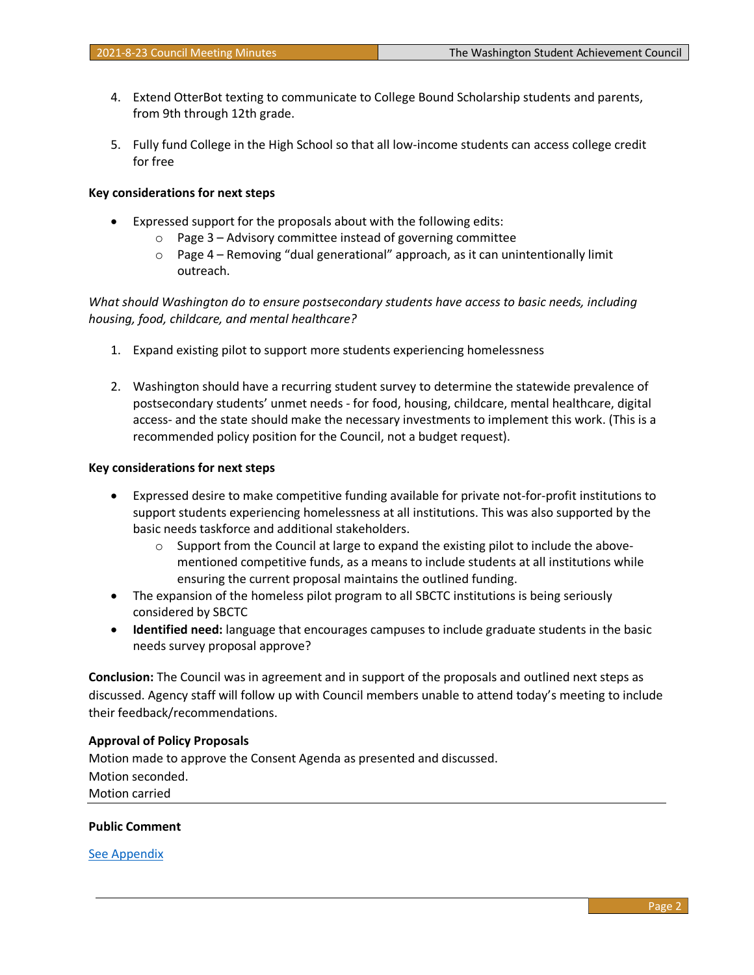- 4. Extend OtterBot texting to communicate to College Bound Scholarship students and parents, from 9th through 12th grade.
- 5. Fully fund College in the High School so that all low-income students can access college credit for free

## **Key considerations for next steps**

- Expressed support for the proposals about with the following edits:
	- o Page 3 Advisory committee instead of governing committee
	- o Page 4 Removing "dual generational" approach, as it can unintentionally limit outreach.

*What should Washington do to ensure postsecondary students have access to basic needs, including housing, food, childcare, and mental healthcare?*

- 1. Expand existing pilot to support more students experiencing homelessness
- 2. Washington should have a recurring student survey to determine the statewide prevalence of postsecondary students' unmet needs - for food, housing, childcare, mental healthcare, digital access- and the state should make the necessary investments to implement this work. (This is a recommended policy position for the Council, not a budget request).

### **Key considerations for next steps**

- Expressed desire to make competitive funding available for private not-for-profit institutions to support students experiencing homelessness at all institutions. This was also supported by the basic needs taskforce and additional stakeholders.
	- $\circ$  Support from the Council at large to expand the existing pilot to include the abovementioned competitive funds, as a means to include students at all institutions while ensuring the current proposal maintains the outlined funding.
- The expansion of the homeless pilot program to all SBCTC institutions is being seriously considered by SBCTC
- **Identified need:** language that encourages campuses to include graduate students in the basic needs survey proposal approve?

**Conclusion:** The Council was in agreement and in support of the proposals and outlined next steps as discussed. Agency staff will follow up with Council members unable to attend today's meeting to include their feedback/recommendations.

### **Approval of Policy Proposals**

Motion made to approve the Consent Agenda as presented and discussed. Motion seconded. Motion carried

### **Public Comment**

[See Appendix](#page-3-0)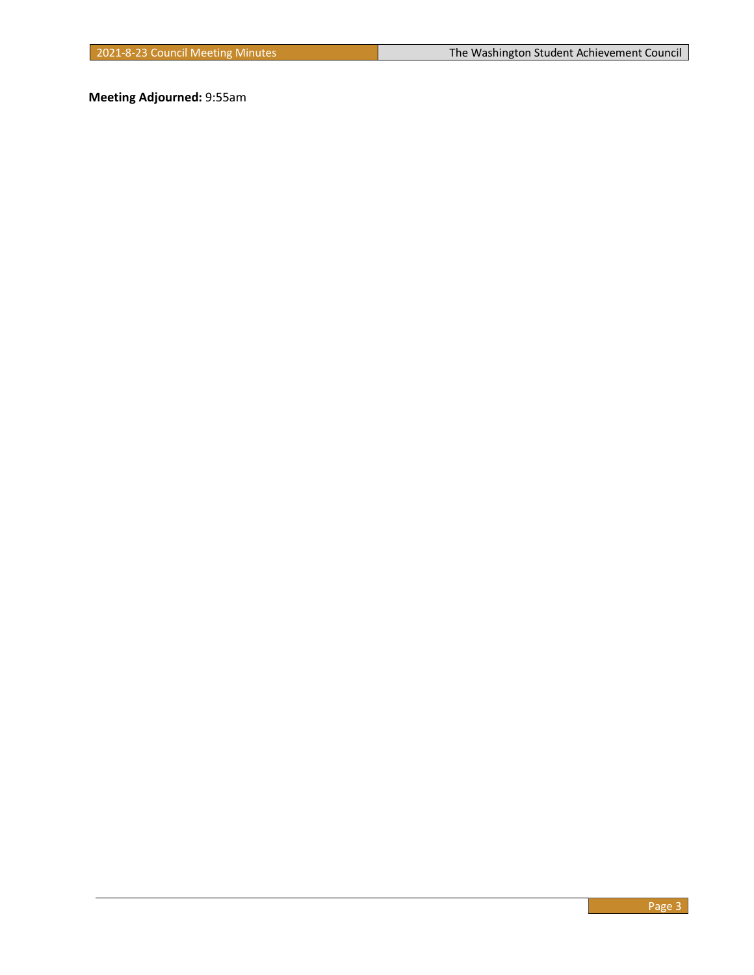**Meeting Adjourned:** 9:55am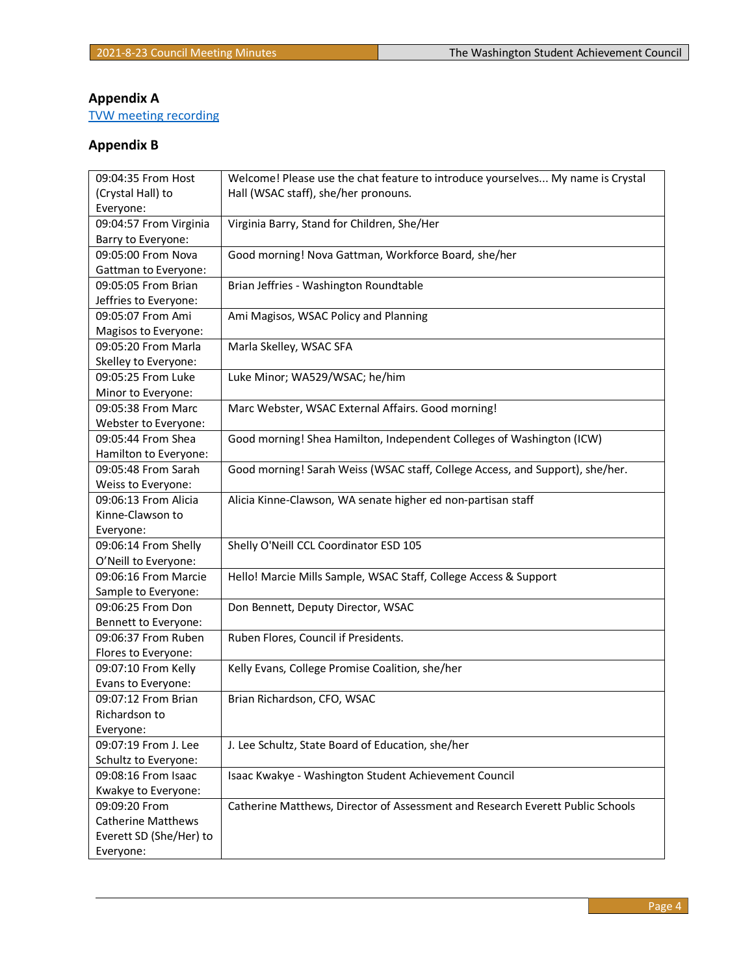# <span id="page-3-0"></span>**Appendix A**

TVW meeting recording

# **Appendix B**

| 09:04:35 From Host        | Welcome! Please use the chat feature to introduce yourselves My name is Crystal |
|---------------------------|---------------------------------------------------------------------------------|
| (Crystal Hall) to         | Hall (WSAC staff), she/her pronouns.                                            |
| Everyone:                 |                                                                                 |
| 09:04:57 From Virginia    | Virginia Barry, Stand for Children, She/Her                                     |
| Barry to Everyone:        |                                                                                 |
| 09:05:00 From Nova        | Good morning! Nova Gattman, Workforce Board, she/her                            |
| Gattman to Everyone:      |                                                                                 |
| 09:05:05 From Brian       | Brian Jeffries - Washington Roundtable                                          |
| Jeffries to Everyone:     |                                                                                 |
| 09:05:07 From Ami         | Ami Magisos, WSAC Policy and Planning                                           |
| Magisos to Everyone:      |                                                                                 |
| 09:05:20 From Marla       | Marla Skelley, WSAC SFA                                                         |
| Skelley to Everyone:      |                                                                                 |
| 09:05:25 From Luke        | Luke Minor; WA529/WSAC; he/him                                                  |
| Minor to Everyone:        |                                                                                 |
| 09:05:38 From Marc        | Marc Webster, WSAC External Affairs. Good morning!                              |
| Webster to Everyone:      |                                                                                 |
| 09:05:44 From Shea        | Good morning! Shea Hamilton, Independent Colleges of Washington (ICW)           |
| Hamilton to Everyone:     |                                                                                 |
| 09:05:48 From Sarah       | Good morning! Sarah Weiss (WSAC staff, College Access, and Support), she/her.   |
| Weiss to Everyone:        |                                                                                 |
| 09:06:13 From Alicia      | Alicia Kinne-Clawson, WA senate higher ed non-partisan staff                    |
| Kinne-Clawson to          |                                                                                 |
| Everyone:                 |                                                                                 |
| 09:06:14 From Shelly      | Shelly O'Neill CCL Coordinator ESD 105                                          |
| O'Neill to Everyone:      |                                                                                 |
| 09:06:16 From Marcie      | Hello! Marcie Mills Sample, WSAC Staff, College Access & Support                |
| Sample to Everyone:       |                                                                                 |
| 09:06:25 From Don         | Don Bennett, Deputy Director, WSAC                                              |
| Bennett to Everyone:      |                                                                                 |
| 09:06:37 From Ruben       | Ruben Flores, Council if Presidents.                                            |
| Flores to Everyone:       |                                                                                 |
| 09:07:10 From Kelly       | Kelly Evans, College Promise Coalition, she/her                                 |
| Evans to Everyone:        |                                                                                 |
| 09:07:12 From Brian       | Brian Richardson, CFO, WSAC                                                     |
| Richardson to             |                                                                                 |
| Everyone:                 |                                                                                 |
| 09:07:19 From J. Lee      | J. Lee Schultz, State Board of Education, she/her                               |
| Schultz to Everyone:      |                                                                                 |
| 09:08:16 From Isaac       | Isaac Kwakye - Washington Student Achievement Council                           |
| Kwakye to Everyone:       |                                                                                 |
| 09:09:20 From             | Catherine Matthews, Director of Assessment and Research Everett Public Schools  |
| <b>Catherine Matthews</b> |                                                                                 |
| Everett SD (She/Her) to   |                                                                                 |
| Everyone:                 |                                                                                 |